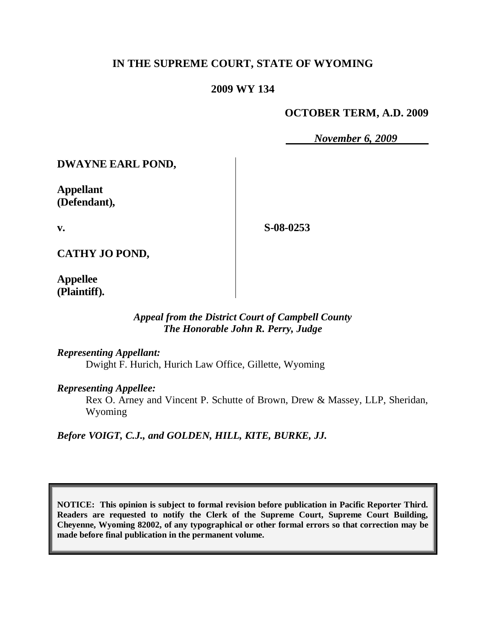# **IN THE SUPREME COURT, STATE OF WYOMING**

### **2009 WY 134**

## **OCTOBER TERM, A.D. 2009**

*November 6, 2009*

**DWAYNE EARL POND,**

**Appellant (Defendant),**

**v.**

**S-08-0253**

**CATHY JO POND,**

**Appellee (Plaintiff).**

### *Appeal from the District Court of Campbell County The Honorable John R. Perry, Judge*

*Representing Appellant:*

Dwight F. Hurich, Hurich Law Office, Gillette, Wyoming

*Representing Appellee:*

Rex O. Arney and Vincent P. Schutte of Brown, Drew & Massey, LLP, Sheridan, Wyoming

*Before VOIGT, C.J., and GOLDEN, HILL, KITE, BURKE, JJ.*

**NOTICE: This opinion is subject to formal revision before publication in Pacific Reporter Third. Readers are requested to notify the Clerk of the Supreme Court, Supreme Court Building, Cheyenne, Wyoming 82002, of any typographical or other formal errors so that correction may be made before final publication in the permanent volume.**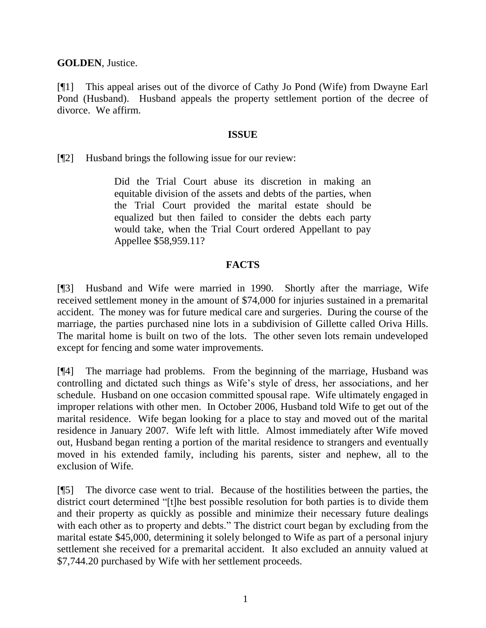**GOLDEN**, Justice.

[¶1] This appeal arises out of the divorce of Cathy Jo Pond (Wife) from Dwayne Earl Pond (Husband). Husband appeals the property settlement portion of the decree of divorce. We affirm.

### **ISSUE**

[¶2] Husband brings the following issue for our review:

Did the Trial Court abuse its discretion in making an equitable division of the assets and debts of the parties, when the Trial Court provided the marital estate should be equalized but then failed to consider the debts each party would take, when the Trial Court ordered Appellant to pay Appellee \$58,959.11?

## **FACTS**

[¶3] Husband and Wife were married in 1990. Shortly after the marriage, Wife received settlement money in the amount of \$74,000 for injuries sustained in a premarital accident. The money was for future medical care and surgeries. During the course of the marriage, the parties purchased nine lots in a subdivision of Gillette called Oriva Hills. The marital home is built on two of the lots. The other seven lots remain undeveloped except for fencing and some water improvements.

[¶4] The marriage had problems. From the beginning of the marriage, Husband was controlling and dictated such things as Wife's style of dress, her associations, and her schedule. Husband on one occasion committed spousal rape. Wife ultimately engaged in improper relations with other men. In October 2006, Husband told Wife to get out of the marital residence. Wife began looking for a place to stay and moved out of the marital residence in January 2007. Wife left with little. Almost immediately after Wife moved out, Husband began renting a portion of the marital residence to strangers and eventually moved in his extended family, including his parents, sister and nephew, all to the exclusion of Wife.

[¶5] The divorce case went to trial. Because of the hostilities between the parties, the district court determined "[t]he best possible resolution for both parties is to divide them and their property as quickly as possible and minimize their necessary future dealings with each other as to property and debts." The district court began by excluding from the marital estate \$45,000, determining it solely belonged to Wife as part of a personal injury settlement she received for a premarital accident. It also excluded an annuity valued at \$7,744.20 purchased by Wife with her settlement proceeds.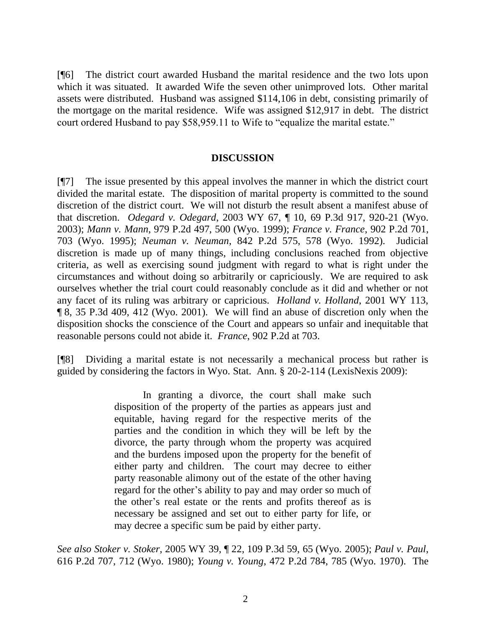[¶6] The district court awarded Husband the marital residence and the two lots upon which it was situated. It awarded Wife the seven other unimproved lots. Other marital assets were distributed. Husband was assigned \$114,106 in debt, consisting primarily of the mortgage on the marital residence. Wife was assigned \$12,917 in debt. The district court ordered Husband to pay \$58,959.11 to Wife to "equalize the marital estate."

#### **DISCUSSION**

[¶7] The issue presented by this appeal involves the manner in which the district court divided the marital estate. The disposition of marital property is committed to the sound discretion of the district court. We will not disturb the result absent a manifest abuse of that discretion. *Odegard v. Odegard*, 2003 WY 67, ¶ 10, 69 P.3d 917, 920-21 (Wyo. 2003); *Mann v. Mann*, 979 P.2d 497, 500 (Wyo. 1999); *France v. France*, 902 P.2d 701, 703 (Wyo. 1995); *Neuman v. Neuman*, 842 P.2d 575, 578 (Wyo. 1992). Judicial discretion is made up of many things, including conclusions reached from objective criteria, as well as exercising sound judgment with regard to what is right under the circumstances and without doing so arbitrarily or capriciously. We are required to ask ourselves whether the trial court could reasonably conclude as it did and whether or not any facet of its ruling was arbitrary or capricious. *Holland v. Holland*, 2001 WY 113, ¶ 8, 35 P.3d 409, 412 (Wyo. 2001). We will find an abuse of discretion only when the disposition shocks the conscience of the Court and appears so unfair and inequitable that reasonable persons could not abide it. *France*, 902 P.2d at 703.

[¶8] Dividing a marital estate is not necessarily a mechanical process but rather is guided by considering the factors in Wyo. Stat. Ann. § 20-2-114 (LexisNexis 2009):

> In granting a divorce, the court shall make such disposition of the property of the parties as appears just and equitable, having regard for the respective merits of the parties and the condition in which they will be left by the divorce, the party through whom the property was acquired and the burdens imposed upon the property for the benefit of either party and children. The court may decree to either party reasonable alimony out of the estate of the other having regard for the other's ability to pay and may order so much of the other's real estate or the rents and profits thereof as is necessary be assigned and set out to either party for life, or may decree a specific sum be paid by either party.

*See also Stoker v. Stoker*, 2005 WY 39, ¶ 22, 109 P.3d 59, 65 (Wyo. 2005); *Paul v. Paul*, 616 P.2d 707, 712 (Wyo. 1980); *Young v. Young*, 472 P.2d 784, 785 (Wyo. 1970). The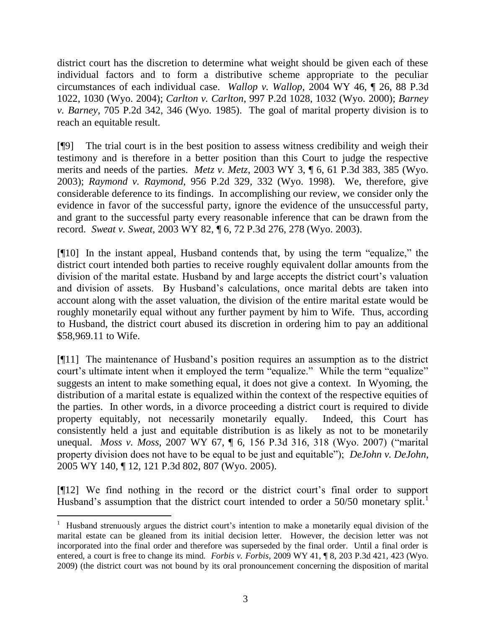district court has the discretion to determine what weight should be given each of these individual factors and to form a distributive scheme appropriate to the peculiar circumstances of each individual case. *Wallop v. Wallop*, 2004 WY 46, ¶ 26, 88 P.3d 1022, 1030 (Wyo. 2004); *Carlton v. Carlton*, 997 P.2d 1028, 1032 (Wyo. 2000); *Barney v. Barney*, 705 P.2d 342, 346 (Wyo. 1985). The goal of marital property division is to reach an equitable result.

[¶9] The trial court is in the best position to assess witness credibility and weigh their testimony and is therefore in a better position than this Court to judge the respective merits and needs of the parties. *Metz v. Metz*, 2003 WY 3, ¶ 6, 61 P.3d 383, 385 (Wyo. 2003); *Raymond v. Raymond*, 956 P.2d 329, 332 (Wyo. 1998). We, therefore, give considerable deference to its findings. In accomplishing our review, we consider only the evidence in favor of the successful party, ignore the evidence of the unsuccessful party, and grant to the successful party every reasonable inference that can be drawn from the record. *Sweat v. Sweat*, 2003 WY 82, ¶ 6, 72 P.3d 276, 278 (Wyo. 2003).

[¶10] In the instant appeal, Husband contends that, by using the term "equalize," the district court intended both parties to receive roughly equivalent dollar amounts from the division of the marital estate. Husband by and large accepts the district court's valuation and division of assets. By Husband's calculations, once marital debts are taken into account along with the asset valuation, the division of the entire marital estate would be roughly monetarily equal without any further payment by him to Wife. Thus, according to Husband, the district court abused its discretion in ordering him to pay an additional \$58,969.11 to Wife.

[¶11] The maintenance of Husband's position requires an assumption as to the district court's ultimate intent when it employed the term "equalize." While the term "equalize" suggests an intent to make something equal, it does not give a context. In Wyoming, the distribution of a marital estate is equalized within the context of the respective equities of the parties. In other words, in a divorce proceeding a district court is required to divide property equitably, not necessarily monetarily equally. Indeed, this Court has consistently held a just and equitable distribution is as likely as not to be monetarily unequal. *Moss v. Moss*, 2007 WY 67, ¶ 6, 156 P.3d 316, 318 (Wyo. 2007) ("marital property division does not have to be equal to be just and equitable"); *DeJohn v. DeJohn*, 2005 WY 140, ¶ 12, 121 P.3d 802, 807 (Wyo. 2005).

[¶12] We find nothing in the record or the district court's final order to support Husband's assumption that the district court intended to order a 50/50 monetary split.<sup>1</sup>

 1 Husband strenuously argues the district court's intention to make a monetarily equal division of the marital estate can be gleaned from its initial decision letter. However, the decision letter was not incorporated into the final order and therefore was superseded by the final order. Until a final order is entered, a court is free to change its mind. *Forbis v. Forbis*, 2009 WY 41, ¶ 8, 203 P.3d 421, 423 (Wyo. 2009) (the district court was not bound by its oral pronouncement concerning the disposition of marital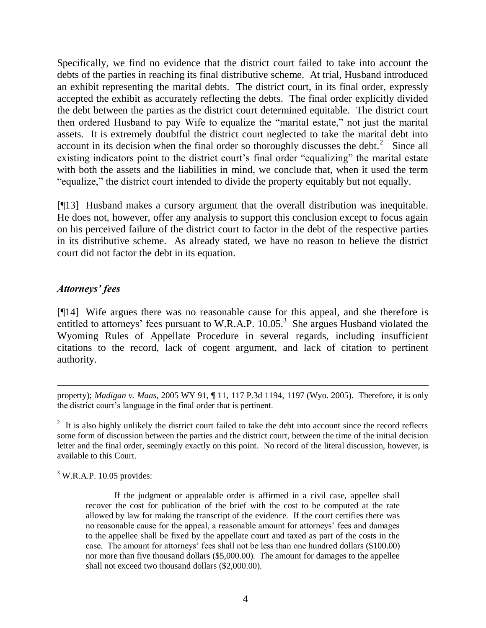Specifically, we find no evidence that the district court failed to take into account the debts of the parties in reaching its final distributive scheme. At trial, Husband introduced an exhibit representing the marital debts. The district court, in its final order, expressly accepted the exhibit as accurately reflecting the debts. The final order explicitly divided the debt between the parties as the district court determined equitable. The district court then ordered Husband to pay Wife to equalize the "marital estate," not just the marital assets. It is extremely doubtful the district court neglected to take the marital debt into account in its decision when the final order so thoroughly discusses the debt. $2$  Since all existing indicators point to the district court's final order "equalizing" the marital estate with both the assets and the liabilities in mind, we conclude that, when it used the term "equalize," the district court intended to divide the property equitably but not equally.

[¶13] Husband makes a cursory argument that the overall distribution was inequitable. He does not, however, offer any analysis to support this conclusion except to focus again on his perceived failure of the district court to factor in the debt of the respective parties in its distributive scheme. As already stated, we have no reason to believe the district court did not factor the debt in its equation.

### *Attorneys' fees*

[¶14] Wife argues there was no reasonable cause for this appeal, and she therefore is entitled to attorneys' fees pursuant to W.R.A.P. 10.05.<sup>3</sup> She argues Husband violated the Wyoming Rules of Appellate Procedure in several regards, including insufficient citations to the record, lack of cogent argument, and lack of citation to pertinent authority.

 $\overline{a}$ property); *Madigan v. Maas*, 2005 WY 91, ¶ 11, 117 P.3d 1194, 1197 (Wyo. 2005). Therefore, it is only the district court's language in the final order that is pertinent.

 $3$  W.R.A.P. 10.05 provides:

 $2$  It is also highly unlikely the district court failed to take the debt into account since the record reflects some form of discussion between the parties and the district court, between the time of the initial decision letter and the final order, seemingly exactly on this point. No record of the literal discussion, however, is available to this Court.

If the judgment or appealable order is affirmed in a civil case, appellee shall recover the cost for publication of the brief with the cost to be computed at the rate allowed by law for making the transcript of the evidence. If the court certifies there was no reasonable cause for the appeal, a reasonable amount for attorneys' fees and damages to the appellee shall be fixed by the appellate court and taxed as part of the costs in the case. The amount for attorneys' fees shall not be less than one hundred dollars (\$100.00) nor more than five thousand dollars (\$5,000.00). The amount for damages to the appellee shall not exceed two thousand dollars (\$2,000.00).